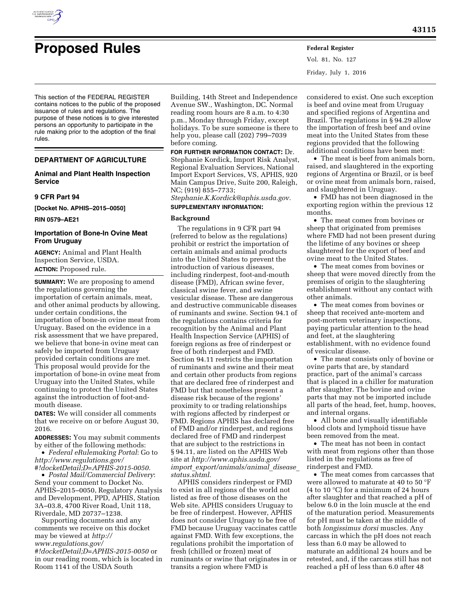

# **Proposed Rules Federal Register**

Vol. 81, No. 127 Friday, July 1, 2016

This section of the FEDERAL REGISTER contains notices to the public of the proposed issuance of rules and regulations. The purpose of these notices is to give interested persons an opportunity to participate in the rule making prior to the adoption of the final rules.

# **DEPARTMENT OF AGRICULTURE**

# **Animal and Plant Health Inspection Service**

# **9 CFR Part 94**

**[Docket No. APHIS–2015–0050]** 

**RIN 0579–AE21** 

# **Importation of Bone-In Ovine Meat From Uruguay**

**AGENCY:** Animal and Plant Health Inspection Service, USDA. **ACTION:** Proposed rule.

**SUMMARY:** We are proposing to amend the regulations governing the importation of certain animals, meat, and other animal products by allowing, under certain conditions, the importation of bone-in ovine meat from Uruguay. Based on the evidence in a risk assessment that we have prepared, we believe that bone-in ovine meat can safely be imported from Uruguay provided certain conditions are met. This proposal would provide for the importation of bone-in ovine meat from Uruguay into the United States, while continuing to protect the United States against the introduction of foot-andmouth disease.

**DATES:** We will consider all comments that we receive on or before August 30, 2016.

**ADDRESSES:** You may submit comments by either of the following methods:

• *Federal eRulemaking Portal*: Go to *[http://www.regulations.gov/](http://www.regulations.gov/#!docketDetail;D=APHIS-2015-0050) [#!docketDetail;D=APHIS-2015-0050.](http://www.regulations.gov/#!docketDetail;D=APHIS-2015-0050)* 

• *Postal Mail/Commercial Delivery*: Send your comment to Docket No. APHIS–2015–0050, Regulatory Analysis and Development, PPD, APHIS, Station 3A–03.8, 4700 River Road, Unit 118, Riverdale, MD 20737–1238.

Supporting documents and any comments we receive on this docket may be viewed at *[http://](http://www.regulations.gov/#!docketDetail;D=APHIS-2015-0050) [www.regulations.gov/](http://www.regulations.gov/#!docketDetail;D=APHIS-2015-0050)*

*[#!docketDetail;D=APHIS-2015-0050](http://www.regulations.gov/#!docketDetail;D=APHIS-2015-0050)* or in our reading room, which is located in Room 1141 of the USDA South

Building, 14th Street and Independence Avenue SW., Washington, DC. Normal reading room hours are 8 a.m. to 4:30 p.m., Monday through Friday, except holidays. To be sure someone is there to help you, please call (202) 799–7039 before coming.

**FOR FURTHER INFORMATION CONTACT:** Dr. Stephanie Kordick, Import Risk Analyst, Regional Evaluation Services, National Import Export Services, VS, APHIS, 920 Main Campus Drive, Suite 200, Raleigh, NC; (919) 855–7733; *[Stephanie.K.Kordick@aphis.usda.gov.](mailto:Stephanie.K.Kordick@aphis.usda.gov)*  **SUPPLEMENTARY INFORMATION:** 

# **Background**

The regulations in 9 CFR part 94 (referred to below as the regulations) prohibit or restrict the importation of certain animals and animal products into the United States to prevent the introduction of various diseases, including rinderpest, foot-and-mouth disease (FMD), African swine fever, classical swine fever, and swine vesicular disease. These are dangerous and destructive communicable diseases of ruminants and swine. Section 94.1 of the regulations contains criteria for recognition by the Animal and Plant Health Inspection Service (APHIS) of foreign regions as free of rinderpest or free of both rinderpest and FMD. Section 94.11 restricts the importation of ruminants and swine and their meat and certain other products from regions that are declared free of rinderpest and FMD but that nonetheless present a disease risk because of the regions' proximity to or trading relationships with regions affected by rinderpest or FMD. Regions APHIS has declared free of FMD and/or rinderpest, and regions declared free of FMD and rinderpest that are subject to the restrictions in § 94.11, are listed on the APHIS Web site at *[http://www.aphis.usda.gov/](http://www.aphis.usda.gov/import_export/animals/animal_disease_status.shtml) import*\_*[export/animals/animal](http://www.aphis.usda.gov/import_export/animals/animal_disease_status.shtml)*\_*disease*\_ *[status.shtml.](http://www.aphis.usda.gov/import_export/animals/animal_disease_status.shtml)* 

APHIS considers rinderpest or FMD to exist in all regions of the world not listed as free of those diseases on the Web site. APHIS considers Uruguay to be free of rinderpest. However, APHIS does not consider Uruguay to be free of FMD because Uruguay vaccinates cattle against FMD. With few exceptions, the regulations prohibit the importation of fresh (chilled or frozen) meat of ruminants or swine that originates in or transits a region where FMD is

considered to exist. One such exception is beef and ovine meat from Uruguay and specified regions of Argentina and Brazil. The regulations in § 94.29 allow the importation of fresh beef and ovine meat into the United States from these regions provided that the following additional conditions have been met:

• The meat is beef from animals born, raised, and slaughtered in the exporting regions of Argentina or Brazil, or is beef or ovine meat from animals born, raised, and slaughtered in Uruguay.

• FMD has not been diagnosed in the exporting region within the previous 12 months.

• The meat comes from bovines or sheep that originated from premises where FMD had not been present during the lifetime of any bovines or sheep slaughtered for the export of beef and ovine meat to the United States.

• The meat comes from bovines or sheep that were moved directly from the premises of origin to the slaughtering establishment without any contact with other animals.

• The meat comes from bovines or sheep that received ante-mortem and post-mortem veterinary inspections, paying particular attention to the head and feet, at the slaughtering establishment, with no evidence found of vesicular disease.

• The meat consists only of bovine or ovine parts that are, by standard practice, part of the animal's carcass that is placed in a chiller for maturation after slaughter. The bovine and ovine parts that may not be imported include all parts of the head, feet, hump, hooves, and internal organs.

• All bone and visually identifiable blood clots and lymphoid tissue have been removed from the meat.

• The meat has not been in contact with meat from regions other than those listed in the regulations as free of rinderpest and FMD.

• The meat comes from carcasses that were allowed to maturate at 40 to 50 °F (4 to 10 °C) for a minimum of 24 hours after slaughter and that reached a pH of below 6.0 in the loin muscle at the end of the maturation period. Measurements for pH must be taken at the middle of both *longissimus dorsi* muscles. Any carcass in which the pH does not reach less than 6.0 may be allowed to maturate an additional 24 hours and be retested, and, if the carcass still has not reached a pH of less than 6.0 after 48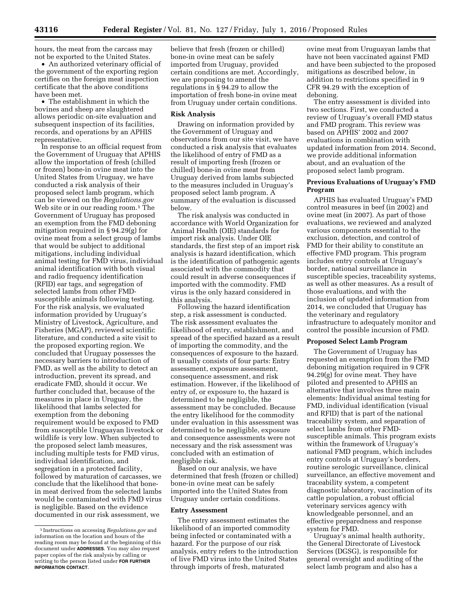hours, the meat from the carcass may not be exported to the United States.

• An authorized veterinary official of the government of the exporting region certifies on the foreign meat inspection certificate that the above conditions have been met.

• The establishment in which the bovines and sheep are slaughtered allows periodic on-site evaluation and subsequent inspection of its facilities, records, and operations by an APHIS representative.

In response to an official request from the Government of Uruguay that APHIS allow the importation of fresh (chilled or frozen) bone-in ovine meat into the United States from Uruguay, we have conducted a risk analysis of their proposed select lamb program, which can be viewed on the *Regulations.gov*  Web site or in our reading room.<sup>1</sup> The Government of Uruguay has proposed an exemption from the FMD deboning mitigation required in § 94.29(g) for ovine meat from a select group of lambs that would be subject to additional mitigations, including individual animal testing for FMD virus, individual animal identification with both visual and radio frequency identification (RFID) ear tags, and segregation of selected lambs from other FMDsusceptible animals following testing. For the risk analysis, we evaluated information provided by Uruguay's Ministry of Livestock, Agriculture, and Fisheries (MGAP), reviewed scientific literature, and conducted a site visit to the proposed exporting region. We concluded that Uruguay possesses the necessary barriers to introduction of FMD, as well as the ability to detect an introduction, prevent its spread, and eradicate FMD, should it occur. We further concluded that, because of the measures in place in Uruguay, the likelihood that lambs selected for exemption from the deboning requirement would be exposed to FMD from susceptible Uruguayan livestock or wildlife is very low. When subjected to the proposed select lamb measures, including multiple tests for FMD virus, individual identification, and segregation in a protected facility, followed by maturation of carcasses, we conclude that the likelihood that bonein meat derived from the selected lambs would be contaminated with FMD virus is negligible. Based on the evidence documented in our risk assessment, we

believe that fresh (frozen or chilled) bone-in ovine meat can be safely imported from Uruguay, provided certain conditions are met. Accordingly, we are proposing to amend the regulations in § 94.29 to allow the importation of fresh bone-in ovine meat from Uruguay under certain conditions.

#### **Risk Analysis**

Drawing on information provided by the Government of Uruguay and observations from our site visit, we have conducted a risk analysis that evaluates the likelihood of entry of FMD as a result of importing fresh (frozen or chilled) bone-in ovine meat from Uruguay derived from lambs subjected to the measures included in Uruguay's proposed select lamb program. A summary of the evaluation is discussed below.

The risk analysis was conducted in accordance with World Organization for Animal Health (OIE) standards for import risk analysis. Under OIE standards, the first step of an import risk analysis is hazard identification, which is the identification of pathogenic agents associated with the commodity that could result in adverse consequences if imported with the commodity. FMD virus is the only hazard considered in this analysis.

Following the hazard identification step, a risk assessment is conducted. The risk assessment evaluates the likelihood of entry, establishment, and spread of the specified hazard as a result of importing the commodity, and the consequences of exposure to the hazard. It usually consists of four parts: Entry assessment, exposure assessment, consequence assessment, and risk estimation. However, if the likelihood of entry of, or exposure to, the hazard is determined to be negligible, the assessment may be concluded. Because the entry likelihood for the commodity under evaluation in this assessment was determined to be negligible, exposure and consequence assessments were not necessary and the risk assessment was concluded with an estimation of negligible risk.

Based on our analysis, we have determined that fresh (frozen or chilled) bone-in ovine meat can be safely imported into the United States from Uruguay under certain conditions.

#### **Entry Assessment**

The entry assessment estimates the likelihood of an imported commodity being infected or contaminated with a hazard. For the purpose of our risk analysis, entry refers to the introduction of live FMD virus into the United States through imports of fresh, maturated

ovine meat from Uruguayan lambs that have not been vaccinated against FMD and have been subjected to the proposed mitigations as described below, in addition to restrictions specified in 9 CFR 94.29 with the exception of deboning.

The entry assessment is divided into two sections. First, we conducted a review of Uruguay's overall FMD status and FMD program. This review was based on APHIS' 2002 and 2007 evaluations in combination with updated information from 2014. Second, we provide additional information about, and an evaluation of the proposed select lamb program.

# **Previous Evaluations of Uruguay's FMD Program**

APHIS has evaluated Uruguay's FMD control measures in beef (in 2002) and ovine meat (in 2007). As part of those evaluations, we reviewed and analyzed various components essential to the exclusion, detection, and control of FMD for their ability to constitute an effective FMD program. This program includes entry controls at Uruguay's border, national surveillance in susceptible species, traceability systems, as well as other measures. As a result of those evaluations, and with the inclusion of updated information from 2014, we concluded that Uruguay has the veterinary and regulatory infrastructure to adequately monitor and control the possible incursion of FMD.

### **Proposed Select Lamb Program**

The Government of Uruguay has requested an exemption from the FMD deboning mitigation required in 9 CFR 94.29(g) for ovine meat. They have piloted and presented to APHIS an alternative that involves three main elements: Individual animal testing for FMD, individual identification (visual and RFID) that is part of the national traceability system, and separation of select lambs from other FMDsusceptible animals. This program exists within the framework of Uruguay's national FMD program, which includes entry controls at Uruguay's borders, routine serologic surveillance, clinical surveillance, an effective movement and traceability system, a competent diagnostic laboratory, vaccination of its cattle population, a robust official veterinary services agency with knowledgeable personnel, and an effective preparedness and response system for FMD.

Uruguay's animal health authority, the General Directorate of Livestock Services (DGSG), is responsible for general oversight and auditing of the select lamb program and also has a

<sup>1</sup> Instructions on accessing *Regulations.gov* and information on the location and hours of the reading room may be found at the beginning of this document under **ADDRESSES**. You may also request paper copies of the risk analysis by calling or writing to the person listed under **FOR FURTHER INFORMATION CONTACT**.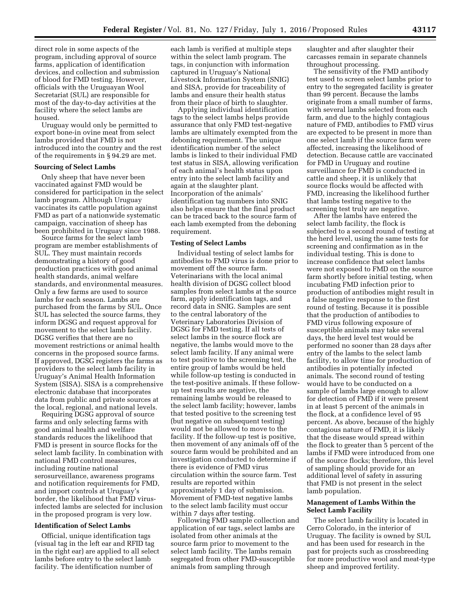direct role in some aspects of the program, including approval of source farms, application of identification devices, and collection and submission of blood for FMD testing. However, officials with the Uruguayan Wool Secretariat (SUL) are responsible for most of the day-to-day activities at the facility where the select lambs are housed.

Uruguay would only be permitted to export bone-in ovine meat from select lambs provided that FMD is not introduced into the country and the rest of the requirements in § 94.29 are met.

#### **Sourcing of Select Lambs**

Only sheep that have never been vaccinated against FMD would be considered for participation in the select lamb program. Although Uruguay vaccinates its cattle population against FMD as part of a nationwide systematic campaign, vaccination of sheep has been prohibited in Uruguay since 1988.

Source farms for the select lamb program are member establishments of SUL. They must maintain records demonstrating a history of good production practices with good animal health standards, animal welfare standards, and environmental measures. Only a few farms are used to source lambs for each season. Lambs are purchased from the farms by SUL. Once SUL has selected the source farms, they inform DGSG and request approval for movement to the select lamb facility. DGSG verifies that there are no movement restrictions or animal health concerns in the proposed source farms. If approved, DGSG registers the farms as providers to the select lamb facility in Uruguay's Animal Health Information System (SISA). SISA is a comprehensive electronic database that incorporates data from public and private sources at the local, regional, and national levels.

Requiring DGSG approval of source farms and only selecting farms with good animal health and welfare standards reduces the likelihood that FMD is present in source flocks for the select lamb facility. In combination with national FMD control measures, including routine national serosurveillance, awareness programs and notification requirements for FMD, and import controls at Uruguay's border, the likelihood that FMD virusinfected lambs are selected for inclusion in the proposed program is very low.

#### **Identification of Select Lambs**

Official, unique identification tags (visual tag in the left ear and RFID tag in the right ear) are applied to all select lambs before entry to the select lamb facility. The identification number of

each lamb is verified at multiple steps within the select lamb program. The tags, in conjunction with information captured in Uruguay's National Livestock Information System (SNIG) and SISA, provide for traceability of lambs and ensure their health status from their place of birth to slaughter.

Applying individual identification tags to the select lambs helps provide assurance that only FMD test-negative lambs are ultimately exempted from the deboning requirement. The unique identification number of the select lambs is linked to their individual FMD test status in SISA, allowing verification of each animal's health status upon entry into the select lamb facility and again at the slaughter plant. Incorporation of the animals' identification tag numbers into SNIG also helps ensure that the final product can be traced back to the source farm of each lamb exempted from the deboning requirement.

#### **Testing of Select Lambs**

Individual testing of select lambs for antibodies to FMD virus is done prior to movement off the source farm. Veterinarians with the local animal health division of DGSG collect blood samples from select lambs at the source farm, apply identification tags, and record data in SNIG. Samples are sent to the central laboratory of the Veterinary Laboratories Division of DGSG for FMD testing. If all tests of select lambs in the source flock are negative, the lambs would move to the select lamb facility. If any animal were to test positive to the screening test, the entire group of lambs would be held while follow-up testing is conducted in the test-positive animals. If these followup test results are negative, the remaining lambs would be released to the select lamb facility; however, lambs that tested positive to the screening test (but negative on subsequent testing) would not be allowed to move to the facility. If the follow-up test is positive, then movement of any animals off of the source farm would be prohibited and an investigation conducted to determine if there is evidence of FMD virus circulation within the source farm. Test results are reported within approximately 1 day of submission. Movement of FMD-test negative lambs to the select lamb facility must occur within 7 days after testing.

Following FMD sample collection and application of ear tags, select lambs are isolated from other animals at the source farm prior to movement to the select lamb facility. The lambs remain segregated from other FMD-susceptible animals from sampling through

slaughter and after slaughter their carcasses remain in separate channels throughout processing.

The sensitivity of the FMD antibody test used to screen select lambs prior to entry to the segregated facility is greater than 99 percent. Because the lambs originate from a small number of farms, with several lambs selected from each farm, and due to the highly contagious nature of FMD, antibodies to FMD virus are expected to be present in more than one select lamb if the source farm were affected, increasing the likelihood of detection. Because cattle are vaccinated for FMD in Uruguay and routine surveillance for FMD is conducted in cattle and sheep, it is unlikely that source flocks would be affected with FMD, increasing the likelihood further that lambs testing negative to the screening test truly are negative.

After the lambs have entered the select lamb facility, the flock is subjected to a second round of testing at the herd level, using the same tests for screening and confirmation as in the individual testing. This is done to increase confidence that select lambs were not exposed to FMD on the source farm shortly before initial testing, when incubating FMD infection prior to production of antibodies might result in a false negative response to the first round of testing. Because it is possible that the production of antibodies to FMD virus following exposure of susceptible animals may take several days, the herd level test would be performed no sooner than 28 days after entry of the lambs to the select lamb facility, to allow time for production of antibodies in potentially infected animals. The second round of testing would have to be conducted on a sample of lambs large enough to allow for detection of FMD if it were present in at least 5 percent of the animals in the flock, at a confidence level of 95 percent. As above, because of the highly contagious nature of FMD, it is likely that the disease would spread within the flock to greater than 5 percent of the lambs if FMD were introduced from one of the source flocks; therefore, this level of sampling should provide for an additional level of safety in assuring that FMD is not present in the select lamb population.

# **Management of Lambs Within the Select Lamb Facility**

The select lamb facility is located in Cerro Colorado, in the interior of Uruguay. The facility is owned by SUL and has been used for research in the past for projects such as crossbreeding for more productive wool and meat-type sheep and improved fertility.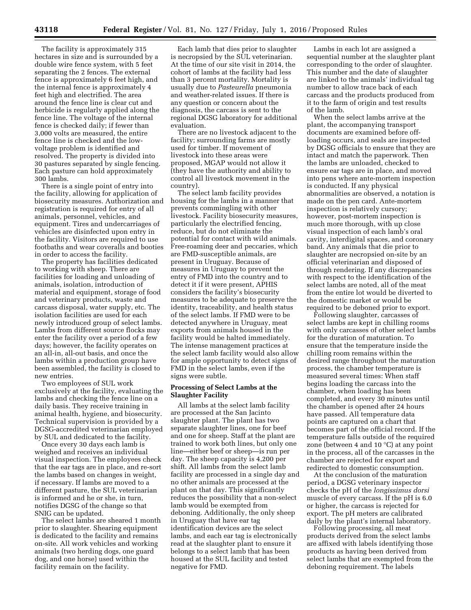The facility is approximately 315 hectares in size and is surrounded by a double wire fence system, with 5 feet separating the 2 fences. The external fence is approximately 6 feet high, and the internal fence is approximately 4 feet high and electrified. The area around the fence line is clear cut and herbicide is regularly applied along the fence line. The voltage of the internal fence is checked daily; if fewer than 3,000 volts are measured, the entire fence line is checked and the lowvoltage problem is identified and resolved. The property is divided into 30 pastures separated by single fencing. Each pasture can hold approximately 300 lambs.

There is a single point of entry into the facility, allowing for application of biosecurity measures. Authorization and registration is required for entry of all animals, personnel, vehicles, and equipment. Tires and undercarriages of vehicles are disinfected upon entry in the facility. Visitors are required to use footbaths and wear coveralls and booties in order to access the facility.

The property has facilities dedicated to working with sheep. There are facilities for loading and unloading of animals, isolation, introduction of material and equipment, storage of food and veterinary products, waste and carcass disposal, water supply, etc. The isolation facilities are used for each newly introduced group of select lambs. Lambs from different source flocks may enter the facility over a period of a few days; however, the facility operates on an all-in, all-out basis, and once the lambs within a production group have been assembled, the facility is closed to new entries.

Two employees of SUL work exclusively at the facility, evaluating the lambs and checking the fence line on a daily basis. They receive training in animal health, hygiene, and biosecurity. Technical supervision is provided by a DGSG-accredited veterinarian employed by SUL and dedicated to the facility.

Once every 30 days each lamb is weighed and receives an individual visual inspection. The employees check that the ear tags are in place, and re-sort the lambs based on changes in weight, if necessary. If lambs are moved to a different pasture, the SUL veterinarian is informed and he or she, in turn, notifies DGSG of the change so that SNIG can be updated.

The select lambs are sheared 1 month prior to slaughter. Shearing equipment is dedicated to the facility and remains on-site. All work vehicles and working animals (two herding dogs, one guard dog, and one horse) used within the facility remain on the facility.

Each lamb that dies prior to slaughter is necropsied by the SUL veterinarian. At the time of our site visit in 2014, the cohort of lambs at the facility had less than 3 percent mortality. Mortality is usually due to *Pasteurella* pneumonia and weather-related issues. If there is any question or concern about the diagnosis, the carcass is sent to the regional DGSG laboratory for additional evaluation.

There are no livestock adjacent to the facility; surrounding farms are mostly used for timber. If movement of livestock into these areas were proposed, MGAP would not allow it (they have the authority and ability to control all livestock movement in the country).

The select lamb facility provides housing for the lambs in a manner that prevents commingling with other livestock. Facility biosecurity measures, particularly the electrified fencing, reduce, but do not eliminate the potential for contact with wild animals. Free-roaming deer and peccaries, which are FMD-susceptible animals, are present in Uruguay. Because of measures in Uruguay to prevent the entry of FMD into the country and to detect it if it were present, APHIS considers the facility's biosecurity measures to be adequate to preserve the identity, traceability, and health status of the select lambs. If FMD were to be detected anywhere in Uruguay, meat exports from animals housed in the facility would be halted immediately. The intense management practices at the select lamb facility would also allow for ample opportunity to detect signs of FMD in the select lambs, even if the signs were subtle.

#### **Processing of Select Lambs at the Slaughter Facility**

All lambs at the select lamb facility are processed at the San Jacinto slaughter plant. The plant has two separate slaughter lines, one for beef and one for sheep. Staff at the plant are trained to work both lines, but only one line—either beef or sheep—is run per day. The sheep capacity is 4,200 per shift. All lambs from the select lamb facility are processed in a single day and no other animals are processed at the plant on that day. This significantly reduces the possibility that a non-select lamb would be exempted from deboning. Additionally, the only sheep in Uruguay that have ear tag identification devices are the select lambs, and each ear tag is electronically read at the slaughter plant to ensure it belongs to a select lamb that has been housed at the SUL facility and tested negative for FMD.

Lambs in each lot are assigned a sequential number at the slaughter plant corresponding to the order of slaughter. This number and the date of slaughter are linked to the animals' individual tag number to allow trace back of each carcass and the products produced from it to the farm of origin and test results of the lamb.

When the select lambs arrive at the plant, the accompanying transport documents are examined before offloading occurs, and seals are inspected by DGSG officials to ensure that they are intact and match the paperwork. Then the lambs are unloaded, checked to ensure ear tags are in place, and moved into pens where ante-mortem inspection is conducted. If any physical abnormalities are observed, a notation is made on the pen card. Ante-mortem inspection is relatively cursory; however, post-mortem inspection is much more thorough, with up close visual inspection of each lamb's oral cavity, interdigital spaces, and coronary band. Any animals that die prior to slaughter are necropsied on-site by an official veterinarian and disposed of through rendering. If any discrepancies with respect to the identification of the select lambs are noted, all of the meat from the entire lot would be diverted to the domestic market or would be required to be deboned prior to export.

Following slaughter, carcasses of select lambs are kept in chilling rooms with only carcasses of other select lambs for the duration of maturation. To ensure that the temperature inside the chilling room remains within the desired range throughout the maturation process, the chamber temperature is measured several times: When staff begins loading the carcass into the chamber, when loading has been completed, and every 30 minutes until the chamber is opened after 24 hours have passed. All temperature data points are captured on a chart that becomes part of the official record. If the temperature falls outside of the required zone (between 4 and 10 °C) at any point in the process, all of the carcasses in the chamber are rejected for export and redirected to domestic consumption.

At the conclusion of the maturation period, a DGSG veterinary inspector checks the pH of the *longissimus dorsi*  muscle of every carcass. If the pH is 6.0 or higher, the carcass is rejected for export. The pH meters are calibrated daily by the plant's internal laboratory.

Following processing, all meat products derived from the select lambs are affixed with labels identifying those products as having been derived from select lambs that are exempted from the deboning requirement. The labels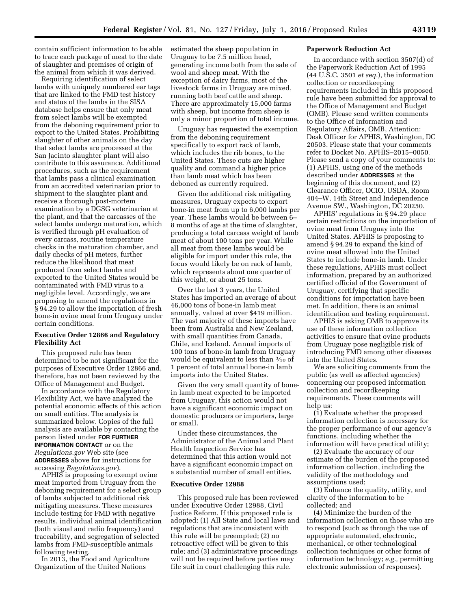contain sufficient information to be able to trace each package of meat to the date of slaughter and premises of origin of the animal from which it was derived.

Requiring identification of select lambs with uniquely numbered ear tags that are linked to the FMD test history and status of the lambs in the SISA database helps ensure that only meat from select lambs will be exempted from the deboning requirement prior to export to the United States. Prohibiting slaughter of other animals on the day that select lambs are processed at the San Jacinto slaughter plant will also contribute to this assurance. Additional procedures, such as the requirement that lambs pass a clinical examination from an accredited veterinarian prior to shipment to the slaughter plant and receive a thorough post-mortem examination by a DGSG veterinarian at the plant, and that the carcasses of the select lambs undergo maturation, which is verified through pH evaluation of every carcass, routine temperature checks in the maturation chamber, and daily checks of pH meters, further reduce the likelihood that meat produced from select lambs and exported to the United States would be contaminated with FMD virus to a negligible level. Accordingly, we are proposing to amend the regulations in § 94.29 to allow the importation of fresh bone-in ovine meat from Uruguay under certain conditions.

# **Executive Order 12866 and Regulatory Flexibility Act**

This proposed rule has been determined to be not significant for the purposes of Executive Order 12866 and, therefore, has not been reviewed by the Office of Management and Budget.

In accordance with the Regulatory Flexibility Act, we have analyzed the potential economic effects of this action on small entities. The analysis is summarized below. Copies of the full analysis are available by contacting the person listed under **FOR FURTHER INFORMATION CONTACT** or on the *Regulations.gov* Web site (see **ADDRESSES** above for instructions for accessing *Regulations.gov*).

APHIS is proposing to exempt ovine meat imported from Uruguay from the deboning requirement for a select group of lambs subjected to additional risk mitigating measures. These measures include testing for FMD with negative results, individual animal identification (both visual and radio frequency) and traceability, and segregation of selected lambs from FMD-susceptible animals following testing.

In 2013, the Food and Agriculture Organization of the United Nations

estimated the sheep population in Uruguay to be 7.5 million head, generating income both from the sale of wool and sheep meat. With the exception of dairy farms, most of the livestock farms in Uruguay are mixed, running both beef cattle and sheep. There are approximately 15,000 farms with sheep, but income from sheep is only a minor proportion of total income.

Uruguay has requested the exemption from the deboning requirement specifically to export rack of lamb, which includes the rib bones, to the United States. These cuts are higher quality and command a higher price than lamb meat which has been deboned as currently required.

Given the additional risk mitigating measures, Uruguay expects to export bone-in meat from up to 6,000 lambs per year. These lambs would be between 6– 8 months of age at the time of slaughter, producing a total carcass weight of lamb meat of about 100 tons per year. While all meat from these lambs would be eligible for import under this rule, the focus would likely be on rack of lamb, which represents about one quarter of this weight, or about 25 tons.

Over the last 3 years, the United States has imported an average of about 46,000 tons of bone-in lamb meat annually, valued at over \$419 million. The vast majority of these imports have been from Australia and New Zealand, with small quantities from Canada, Chile, and Iceland. Annual imports of 100 tons of bone-in lamb from Uruguay would be equivalent to less than 3⁄10 of 1 percent of total annual bone-in lamb imports into the United States.

Given the very small quantity of bonein lamb meat expected to be imported from Uruguay, this action would not have a significant economic impact on domestic producers or importers, large or small.

Under these circumstances, the Administrator of the Animal and Plant Health Inspection Service has determined that this action would not have a significant economic impact on a substantial number of small entities.

#### **Executive Order 12988**

This proposed rule has been reviewed under Executive Order 12988, Civil Justice Reform. If this proposed rule is adopted: (1) All State and local laws and regulations that are inconsistent with this rule will be preempted; (2) no retroactive effect will be given to this rule; and (3) administrative proceedings will not be required before parties may file suit in court challenging this rule.

#### **Paperwork Reduction Act**

In accordance with section 3507(d) of the Paperwork Reduction Act of 1995 (44 U.S.C. 3501 *et seq.*), the information collection or recordkeeping requirements included in this proposed rule have been submitted for approval to the Office of Management and Budget (OMB). Please send written comments to the Office of Information and Regulatory Affairs, OMB, Attention: Desk Officer for APHIS, Washington, DC 20503. Please state that your comments refer to Docket No. APHIS–2015–0050. Please send a copy of your comments to: (1) APHIS, using one of the methods described under **ADDRESSES** at the beginning of this document, and (2) Clearance Officer, OCIO, USDA, Room 404–W, 14th Street and Independence Avenue SW., Washington, DC 20250.

APHIS' regulations in § 94.29 place certain restrictions on the importation of ovine meat from Uruguay into the United States. APHIS is proposing to amend § 94.29 to expand the kind of ovine meat allowed into the United States to include bone-in lamb. Under these regulations, APHIS must collect information, prepared by an authorized certified official of the Government of Uruguay, certifying that specific conditions for importation have been met. In addition, there is an animal identification and testing requirement.

APHIS is asking OMB to approve its use of these information collection activities to ensure that ovine products from Uruguay pose negligible risk of introducing FMD among other diseases into the United States.

We are soliciting comments from the public (as well as affected agencies) concerning our proposed information collection and recordkeeping requirements. These comments will help us:

(1) Evaluate whether the proposed information collection is necessary for the proper performance of our agency's functions, including whether the information will have practical utility;

(2) Evaluate the accuracy of our estimate of the burden of the proposed information collection, including the validity of the methodology and assumptions used;

(3) Enhance the quality, utility, and clarity of the information to be collected; and

(4) Minimize the burden of the information collection on those who are to respond (such as through the use of appropriate automated, electronic, mechanical, or other technological collection techniques or other forms of information technology; *e.g.,* permitting electronic submission of responses).